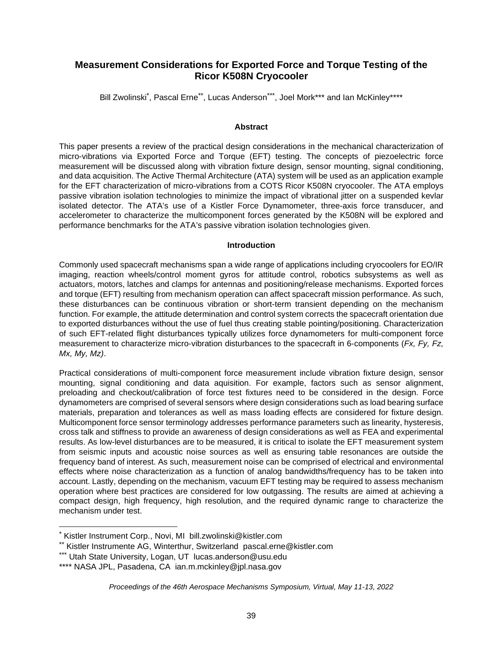# **Measurement Considerations for Exported Force and Torque Testing of the Ricor K508N Cryocooler**

Bill Zwolinski<sup>[\\*](#page-0-0)</sup>, Pascal Erne<sup>[\\*\\*](#page-0-1)</sup>, Lucas Anderson<sup>[\\*\\*\\*](#page-0-2)</sup>, Joel Mork\*\*\* and Ian McKinley\*\*\*\*

### **Abstract**

This paper presents a review of the practical design considerations in the mechanical characterization of micro-vibrations via Exported Force and Torque (EFT) testing. The concepts of piezoelectric force measurement will be discussed along with vibration fixture design, sensor mounting, signal conditioning, and data acquisition. The Active Thermal Architecture (ATA) system will be used as an application example for the EFT characterization of micro-vibrations from a COTS Ricor K508N cryocooler. The ATA employs passive vibration isolation technologies to minimize the impact of vibrational jitter on a suspended kevlar isolated detector. The ATA's use of a Kistler Force Dynamometer, three-axis force transducer, and accelerometer to characterize the multicomponent forces generated by the K508N will be explored and performance benchmarks for the ATA's passive vibration isolation technologies given.

#### **Introduction**

Commonly used spacecraft mechanisms span a wide range of applications including cryocoolers for EO/IR imaging, reaction wheels/control moment gyros for attitude control, robotics subsystems as well as actuators, motors, latches and clamps for antennas and positioning/release mechanisms. Exported forces and torque (EFT) resulting from mechanism operation can affect spacecraft mission performance. As such, these disturbances can be continuous vibration or short-term transient depending on the mechanism function. For example, the attitude determination and control system corrects the spacecraft orientation due to exported disturbances without the use of fuel thus creating stable pointing/positioning. Characterization of such EFT-related flight disturbances typically utilizes force dynamometers for multi-component force measurement to characterize micro-vibration disturbances to the spacecraft in 6-components (*Fx, Fy, Fz, Mx, My, Mz)*.

Practical considerations of multi-component force measurement include vibration fixture design, sensor mounting, signal conditioning and data aquisition. For example, factors such as sensor alignment, preloading and checkout/calibration of force test fixtures need to be considered in the design. Force dynamometers are comprised of several sensors where design considerations such as load bearing surface materials, preparation and tolerances as well as mass loading effects are considered for fixture design. Multicomponent force sensor terminology addresses performance parameters such as linearity, hysteresis, cross talk and stiffness to provide an awareness of design considerations as well as FEA and experimental results. As low-level disturbances are to be measured, it is critical to isolate the EFT measurement system from seismic inputs and acoustic noise sources as well as ensuring table resonances are outside the frequency band of interest. As such, measurement noise can be comprised of electrical and environmental effects where noise characterization as a function of analog bandwidths/frequency has to be taken into account. Lastly, depending on the mechanism, vacuum EFT testing may be required to assess mechanism operation where best practices are considered for low outgassing. The results are aimed at achieving a compact design, high frequency, high resolution, and the required dynamic range to characterize the mechanism under test.

<span id="page-0-1"></span><span id="page-0-0"></span><sup>\*</sup> Kistler Instrument Corp., Novi, MI bill.zwolinski@kistler.com

<sup>\*\*</sup> Kistler Instrumente AG, Winterthur, Switzerland pascal.erne@kistler.com

<span id="page-0-2"></span><sup>\*\*\*</sup> Utah State University, Logan, UT lucas.anderson@usu.edu

<sup>\*\*\*\*</sup> NASA JPL, Pasadena, CA ian.m.mckinley@jpl.nasa.gov

*Proceedings of the 46th Aerospace Mechanisms Symposium, Virtual, May 11-13, 2022*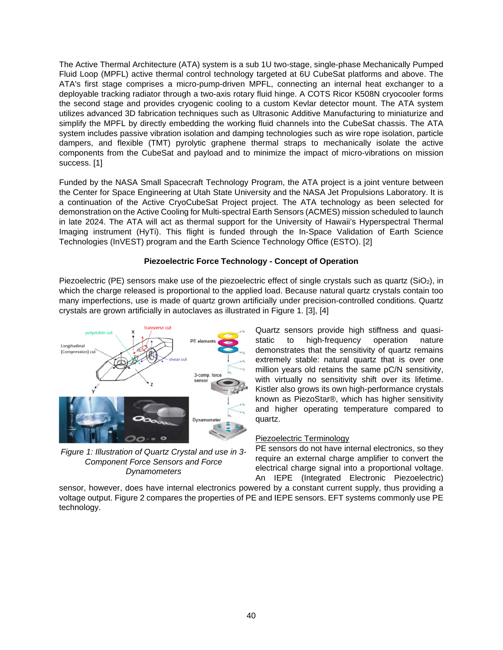The Active Thermal Architecture (ATA) system is a sub 1U two-stage, single-phase Mechanically Pumped Fluid Loop (MPFL) active thermal control technology targeted at 6U CubeSat platforms and above. The ATA's first stage comprises a micro-pump-driven MPFL, connecting an internal heat exchanger to a deployable tracking radiator through a two-axis rotary fluid hinge. A COTS Ricor K508N cryocooler forms the second stage and provides cryogenic cooling to a custom Kevlar detector mount. The ATA system utilizes advanced 3D fabrication techniques such as Ultrasonic Additive Manufacturing to miniaturize and simplify the MPFL by directly embedding the working fluid channels into the CubeSat chassis. The ATA system includes passive vibration isolation and damping technologies such as wire rope isolation, particle dampers, and flexible (TMT) pyrolytic graphene thermal straps to mechanically isolate the active components from the CubeSat and payload and to minimize the impact of micro-vibrations on mission success. [1]

Funded by the NASA Small Spacecraft Technology Program, the ATA project is a joint venture between the Center for Space Engineering at Utah State University and the NASA Jet Propulsions Laboratory. It is a continuation of the Active CryoCubeSat Project project. The ATA technology as been selected for demonstration on the Active Cooling for Multi-spectral Earth Sensors (ACMES) mission scheduled to launch in late 2024. The ATA will act as thermal support for the University of Hawaii's Hyperspectral Thermal Imaging instrument (HyTi). This flight is funded through the In-Space Validation of Earth Science Technologies (InVEST) program and the Earth Science Technology Office (ESTO). [2]

# **Piezoelectric Force Technology - Concept of Operation**

Piezoelectric (PE) sensors make use of the piezoelectric effect of single crystals such as quartz (SiO<sub>2</sub>), in which the charge released is proportional to the applied load. Because natural quartz crystals contain too many imperfections, use is made of quartz grown artificially under precision-controlled conditions. Quartz crystals are grown artificially in autoclaves as illustrated in Figure 1. [3], [4]



*Figure 1: Illustration of Quartz Crystal and use in 3- Component Force Sensors and Force Dynamometers*

Quartz sensors provide high stiffness and quasistatic to high-frequency operation nature demonstrates that the sensitivity of quartz remains extremely stable: natural quartz that is over one million years old retains the same pC/N sensitivity, with virtually no sensitivity shift over its lifetime. Kistler also grows its own high-performance crystals known as PiezoStar®, which has higher sensitivity and higher operating temperature compared to quartz.

# Piezoelectric Terminology

PE sensors do not have internal electronics, so they require an external charge amplifier to convert the electrical charge signal into a proportional voltage. An IEPE (Integrated Electronic Piezoelectric)

sensor, however, does have internal electronics powered by a constant current supply, thus providing a voltage output. Figure 2 compares the properties of PE and IEPE sensors. EFT systems commonly use PE technology.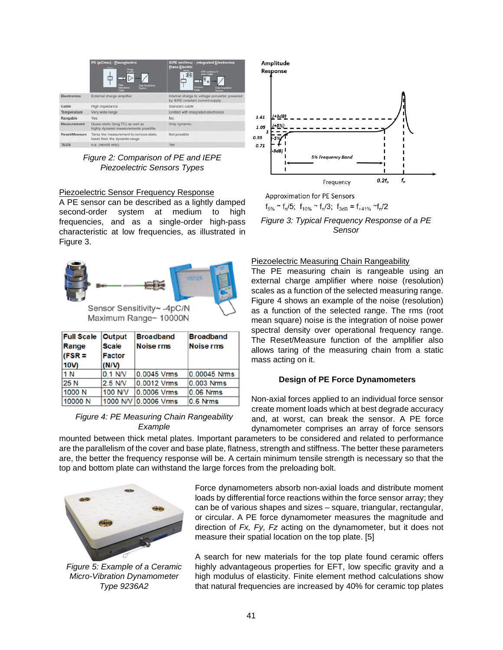|               | PE (pC/mu) - Piezoglectric<br><b>GRASS</b><br><b>Ligts</b><br><b>Data Amparation</b><br>impostance<br>Gebe<br><b>Geography</b> | IEPE (mV/mu) - Integrated Electronics<br><b>Plezo Electric</b><br><b>CFC</b> conditioned by<br>乖<br>$\ddot{\phi}$ <sub>th</sub><br>Gendard<br><b>Gata Arguegas</b><br>System |  |
|---------------|--------------------------------------------------------------------------------------------------------------------------------|------------------------------------------------------------------------------------------------------------------------------------------------------------------------------|--|
| Electronics   | External charge amplifier                                                                                                      | Internal charge to voltage converter, powered<br>by IEPE constant current supply                                                                                             |  |
| Cable         | High impedance                                                                                                                 | Standard cable                                                                                                                                                               |  |
| Temperature   | Very wide range                                                                                                                | Limited with integrated electronics                                                                                                                                          |  |
| Rangable      | Yes.                                                                                                                           | No.                                                                                                                                                                          |  |
| Measurement   | Quasi-static (long TC) as well as<br>highly dynamic measurements possible                                                      | Only dynamic.                                                                                                                                                                |  |
| Reset/Measure | Tares the measurement to remove static<br>loads from the dynamic range                                                         | Not possible                                                                                                                                                                 |  |
| <b>TEDS</b>   | n.a. (retrofit only)                                                                                                           | <b>Yes</b>                                                                                                                                                                   |  |

*Figure 2: Comparison of PE and IEPE Piezoelectric Sensors Types*

### Piezoelectric Sensor Frequency Response

A PE sensor can be described as a lightly damped second-order system at medium to high frequencies, and as a single-order high-pass characteristic at low frequencies, as illustrated in Figure 3.



Maximum Range~ 10000N

| <b>Full Scale</b><br>Range<br>$(FSR =$<br>10V | <b>Output</b><br><b>Scale</b><br><b>Factor</b><br>(N/N) | <b>Broadband</b><br><b>Noise rms</b> | <b>Broadband</b><br><b>Noise rms</b> |
|-----------------------------------------------|---------------------------------------------------------|--------------------------------------|--------------------------------------|
| 1 N                                           | $0.1$ N/V                                               | 0.0045 Vrms                          | 0.00045 Nrms                         |
| 25 N                                          | $2.5$ N/V                                               | 0.0012 Vrms                          | 0.003 Nrms                           |
| 1000 N                                        | <b>100 N/V</b>                                          | 0.0006 Vrms                          | 0.06 Nrms                            |
| 10000 N                                       |                                                         | 1000 N/V 0.0006 Vrms                 | $0.6$ Nrms                           |

### *Figure 4: PE Measuring Chain Rangeability Example*



**Approximation for PE Sensors**  $f_{5\%} \sim f_{n}/5$ ;  $f_{10\%} \sim f_{n}/3$ ;  $f_{3dB} = f_{+41\%} \sim f_{n}/2$ 

*Figure 3: Typical Frequency Response of a PE Sensor*

#### Piezoelectric Measuring Chain Rangeability

The PE measuring chain is rangeable using an external charge amplifier where noise (resolution) scales as a function of the selected measuring range. Figure 4 shows an example of the noise (resolution) as a function of the selected range. The rms (root mean square) noise is the integration of noise power spectral density over operational frequency range. The Reset/Measure function of the amplifier also allows taring of the measuring chain from a static mass acting on it.

### **Design of PE Force Dynamometers**

Non-axial forces applied to an individual force sensor create moment loads which at best degrade accuracy and, at worst, can break the sensor. A PE force dynamometer comprises an array of force sensors

mounted between thick metal plates. Important parameters to be considered and related to performance are the parallelism of the cover and base plate, flatness, strength and stiffness. The better these parameters are, the better the frequency response will be. A certain minimum tensile strength is necessary so that the top and bottom plate can withstand the large forces from the preloading bolt.



*Figure 5: Example of a Ceramic Micro-Vibration Dynamometer Type 9236A2*

Force dynamometers absorb non-axial loads and distribute moment loads by differential force reactions within the force sensor array; they can be of various shapes and sizes – square, triangular, rectangular, or circular. A PE force dynamometer measures the magnitude and direction of *Fx, Fy, Fz* acting on the dynamometer, but it does not measure their spatial location on the top plate. [5]

A search for new materials for the top plate found ceramic offers highly advantageous properties for EFT, low specific gravity and a high modulus of elasticity. Finite element method calculations show that natural frequencies are increased by 40% for ceramic top plates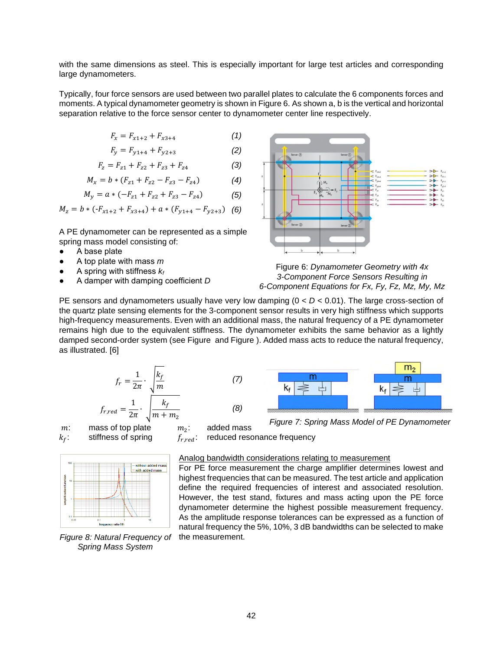with the same dimensions as steel. This is especially important for large test articles and corresponding large dynamometers.

Typically, four force sensors are used between two parallel plates to calculate the 6 components forces and moments. A typical dynamometer geometry is shown in Figure 6. As shown a, b is the vertical and horizontal separation relative to the force sensor center to dynamometer center line respectively.

$$
F_x = F_{x1+2} + F_{x3+4} \tag{1}
$$

$$
F_y = F_{y1+4} + F_{y2+3} \tag{2}
$$

$$
F_z = F_{z1} + F_{z2} + F_{z3} + F_{z4}
$$
 (3)

$$
M_x = b * (F_{z1} + F_{z2} - F_{z3} - F_{z4})
$$
 (4)

$$
M_y = a * (-F_{z1} + F_{z2} + F_{z3} - F_{z4})
$$
 (5)

$$
M_z = b * (-F_{x1+2} + F_{x3+4}) + a * (F_{y1+4} - F_{y2+3})
$$
 (6)

A PE dynamometer can be represented as a simple spring mass model consisting of:

- A base plate
- A top plate with mass *m*
- A spring with stiffness *k<sup>f</sup>*
- A damper with damping coefficient *D*



Figure 6: *Dynamometer Geometry with 4x 3-Component Force Sensors Resulting in 6-Component Equations for Fx, Fy, Fz, Mz, My, Mz*

PE sensors and dynamometers usually have very low damping (0 < *D* < 0.01). The large cross-section of the quartz plate sensing elements for the 3-component sensor results in very high stiffness which supports high-frequency measurements. Even with an additional mass, the natural frequency of a PE dynamometer remains high due to the equivalent stiffness. The dynamometer exhibits the same behavior as a lightly damped second-order system (see Figure and Figure ). Added mass acts to reduce the natural frequency, as illustrated. [6]

$$
f_r = \frac{1}{2\pi} \cdot \sqrt{\frac{k_f}{m}}
$$
(7)  

$$
f_{r,red} = \frac{1}{2\pi} \cdot \sqrt{\frac{k_f}{m + m_2}}
$$
(8)

*m*: mass of top plate  $m_2$ :<br> $k_f$ : stiffness of spring  $f_{r, red}$ :



*Figure 8: Natural Frequency of Spring Mass System*



*Figure 7: Spring Mass Model of PE Dynamometer*

reduced resonance frequency

added mass

#### Analog bandwidth considerations relating to measurement

For PE force measurement the charge amplifier determines lowest and highest frequencies that can be measured. The test article and application define the required frequencies of interest and associated resolution. However, the test stand, fixtures and mass acting upon the PE force dynamometer determine the highest possible measurement frequency. As the amplitude response tolerances can be expressed as a function of natural frequency the 5%, 10%, 3 dB bandwidths can be selected to make the measurement.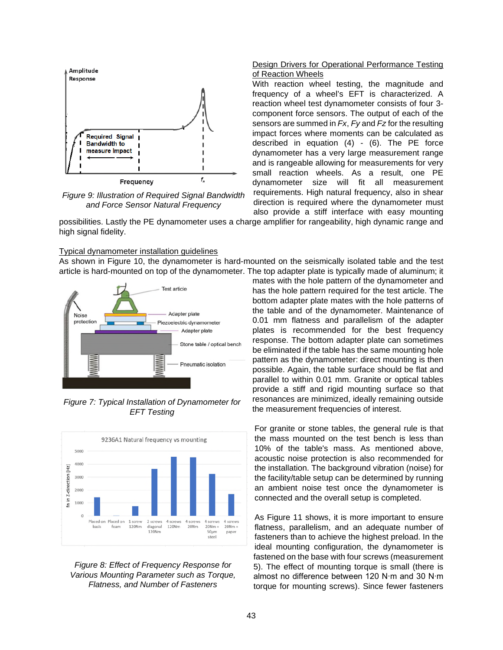

*Figure 9: Illustration of Required Signal Bandwidth and Force Sensor Natural Frequency*

### Design Drivers for Operational Performance Testing of Reaction Wheels

With reaction wheel testing, the magnitude and frequency of a wheel's EFT is characterized. A reaction wheel test dynamometer consists of four 3 component force sensors. The output of each of the sensors are summed in *Fx*, *Fy* and *Fz* for the resulting impact forces where moments can be calculated as described in equation (4) - (6). The PE force dynamometer has a very large measurement range and is rangeable allowing for measurements for very small reaction wheels. As a result, one PE dynamometer size will fit all measurement requirements. High natural frequency, also in shear direction is required where the dynamometer must also provide a stiff interface with easy mounting

possibilities. Lastly the PE dynamometer uses a charge amplifier for rangeability, high dynamic range and high signal fidelity.

#### Typical dynamometer installation guidelines

As shown in Figure 10, the dynamometer is hard-mounted on the seismically isolated table and the test article is hard-mounted on top of the dynamometer. The top adapter plate is typically made of aluminum; it



*Figure 7: Typical Installation of Dynamometer for EFT Testing*





mates with the hole pattern of the dynamometer and has the hole pattern required for the test article. The bottom adapter plate mates with the hole patterns of the table and of the dynamometer. Maintenance of 0.01 mm flatness and parallelism of the adapter plates is recommended for the best frequency response. The bottom adapter plate can sometimes be eliminated if the table has the same mounting hole pattern as the dynamometer: direct mounting is then possible. Again, the table surface should be flat and parallel to within 0.01 mm. Granite or optical tables provide a stiff and rigid mounting surface so that resonances are minimized, ideally remaining outside the measurement frequencies of interest.

For granite or stone tables, the general rule is that the mass mounted on the test bench is less than 10% of the table's mass. As mentioned above, acoustic noise protection is also recommended for the installation. The background vibration (noise) for the facility/table setup can be determined by running an ambient noise test once the dynamometer is connected and the overall setup is completed.

As Figure 11 shows, it is more important to ensure flatness, parallelism, and an adequate number of fasteners than to achieve the highest preload. In the ideal mounting configuration, the dynamometer is fastened on the base with four screws (measurement 5). The effect of mounting torque is small (there is almost no difference between 120 N∙m and 30 N∙m torque for mounting screws). Since fewer fasteners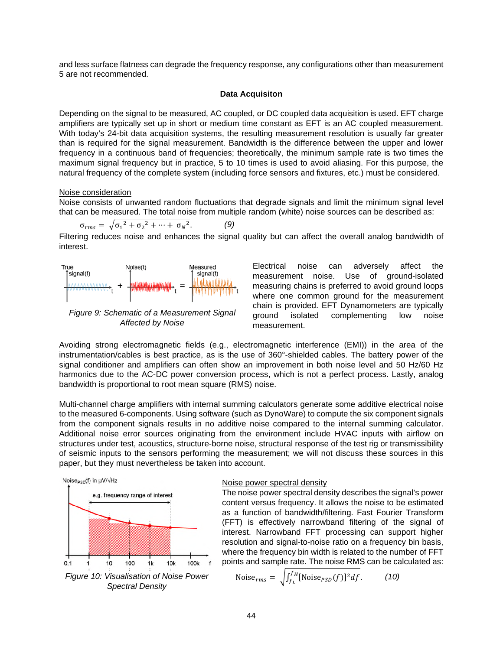and less surface flatness can degrade the frequency response, any configurations other than measurement 5 are not recommended.

#### **Data Acquisiton**

Depending on the signal to be measured, AC coupled, or DC coupled data acquisition is used. EFT charge amplifiers are typically set up in short or medium time constant as EFT is an AC coupled measurement. With today's 24-bit data acquisition systems, the resulting measurement resolution is usually far greater than is required for the signal measurement. Bandwidth is the difference between the upper and lower frequency in a continuous band of frequencies; theoretically, the minimum sample rate is two times the maximum signal frequency but in practice, 5 to 10 times is used to avoid aliasing. For this purpose, the natural frequency of the complete system (including force sensors and fixtures, etc.) must be considered.

#### Noise consideration

Noise consists of unwanted random fluctuations that degrade signals and limit the minimum signal level that can be measured. The total noise from multiple random (white) noise sources can be described as:

$$
\sigma_{rms} = \sqrt{\sigma_1^2 + \sigma_2^2 + \dots + \sigma_N^2}.
$$
 (9)

Filtering reduces noise and enhances the signal quality but can affect the overall analog bandwidth of interest.



*Figure 9: Schematic of a Measurement Signal Affected by Noise*

Electrical noise can adversely affect the measurement noise. Use of ground-isolated measuring chains is preferred to avoid ground loops where one common ground for the measurement chain is provided. EFT Dynamometers are typically ground isolated complementing low noise measurement.

Avoiding strong electromagnetic fields (e.g., electromagnetic interference (EMI)) in the area of the instrumentation/cables is best practice, as is the use of 360°-shielded cables. The battery power of the signal conditioner and amplifiers can often show an improvement in both noise level and 50 Hz/60 Hz harmonics due to the AC-DC power conversion process, which is not a perfect process. Lastly, analog bandwidth is proportional to root mean square (RMS) noise.

Multi-channel charge amplifiers with internal summing calculators generate some additive electrical noise to the measured 6-components. Using software (such as DynoWare) to compute the six component signals from the component signals results in no additive noise compared to the internal summing calculator. Additional noise error sources originating from the environment include HVAC inputs with airflow on structures under test, acoustics, structure-borne noise, structural response of the test rig or transmissibility of seismic inputs to the sensors performing the measurement; we will not discuss these sources in this paper, but they must nevertheless be taken into account.



### Noise power spectral density

The noise power spectral density describes the signal's power content versus frequency. It allows the noise to be estimated as a function of bandwidth/filtering. Fast Fourier Transform (FFT) is effectively narrowband filtering of the signal of interest. Narrowband FFT processing can support higher resolution and signal-to-noise ratio on a frequency bin basis, where the frequency bin width is related to the number of FFT points and sample rate. The noise RMS can be calculated as:

Noise<sub>rms</sub> = 
$$
\sqrt{\int_{f_L}^{f_H} [\text{Noise}_{PSD}(f)]^2 df}
$$
. (10)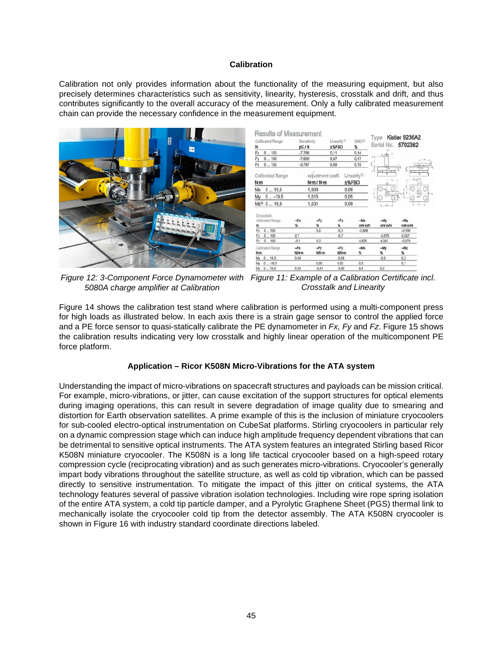### **Calibration**

Calibration not only provides information about the functionality of the measuring equipment, but also precisely determines characteristics such as sensitivity, linearity, hysteresis, crosstalk and drift, and thus contributes significantly to the overall accuracy of the measurement. Only a fully calibrated measurement chain can provide the necessary confidence in the measurement equipment.





Figure 12: 3-Component Force Dynamometer with Figure 11: Example of a Calibration Certificate incl. *5080A charge amplifier at Calibration*

*Crosstalk and Linearity*

Figure 14 shows the calibration test stand where calibration is performed using a multi-component press for high loads as illustrated below. In each axis there is a strain gage sensor to control the applied force and a PE force sensor to quasi-statically calibrate the PE dynamometer in *Fx, Fy* and *Fz*. Figure 15 shows the calibration results indicating very low crosstalk and highly linear operation of the multicomponent PE force platform.

# **Application – Ricor K508N Micro-Vibrations for the ATA system**

Understanding the impact of micro-vibrations on spacecraft structures and payloads can be mission critical. For example, micro-vibrations, or jitter, can cause excitation of the support structures for optical elements during imaging operations, this can result in severe degradation of image quality due to smearing and distortion for Earth observation satellites. A prime example of this is the inclusion of miniature cryocoolers for sub-cooled electro-optical instrumentation on CubeSat platforms. Stirling cryocoolers in particular rely on a dynamic compression stage which can induce high amplitude frequency dependent vibrations that can be detrimental to sensitive optical instruments. The ATA system features an integrated Stirling based Ricor K508N miniature cryocooler. The K508N is a long life tactical cryocooler based on a high-speed rotary compression cycle (reciprocating vibration) and as such generates micro-vibrations. Cryocooler's generally impart body vibrations throughout the satellite structure, as well as cold tip vibration, which can be passed directly to sensitive instrumentation. To mitigate the impact of this jitter on critical systems, the ATA technology features several of passive vibration isolation technologies. Including wire rope spring isolation of the entire ATA system, a cold tip particle damper, and a Pyrolytic Graphene Sheet (PGS) thermal link to mechanically isolate the cryocooler cold tip from the detector assembly. The ATA K508N cryocooler is shown in Figure 16 with industry standard coordinate directions labeled.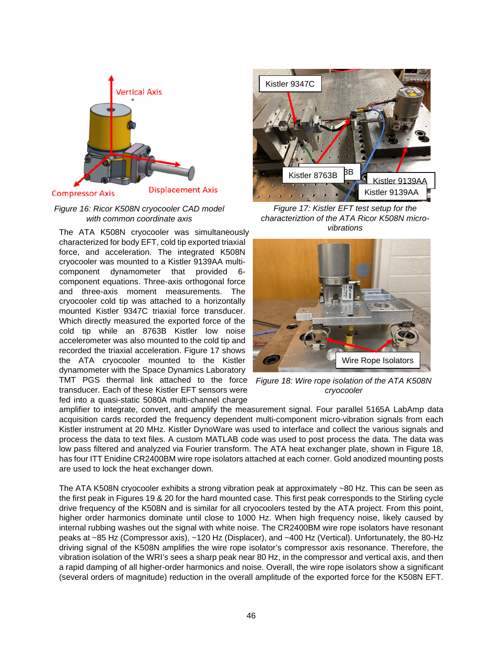

*Figure 16: Ricor K508N cryocooler CAD model with common coordinate axis* 

The ATA K508N cryocooler was simultaneously characterized for body EFT, cold tip exported triaxial force, and acceleration. The integrated K508N cryocooler was mounted to a Kistler 9139AA multicomponent dynamometer that provided 6 component equations. Three-axis orthogonal force and three-axis moment measurements. The cryocooler cold tip was attached to a horizontally mounted Kistler 9347C triaxial force transducer. Which directly measured the exported force of the cold tip while an 8763B Kistler low noise accelerometer was also mounted to the cold tip and recorded the triaxial acceleration. Figure 17 shows the ATA cryocooler mounted to the Kistler dynamometer with the Space Dynamics Laboratory TMT PGS thermal link attached to the force transducer. Each of these Kistler EFT sensors were fed into a quasi-static 5080A multi-channel charge



*Figure 17: Kistler EFT test setup for the characteriztion of the ATA Ricor K508N microvibrations*



*Figure 18: Wire rope isolation of the ATA K508N cryocooler*

amplifier to integrate, convert, and amplify the measurement signal. Four parallel 5165A LabAmp data acquisition cards recorded the frequency dependent multi-component micro-vibration signals from each Kistler instrument at 20 MHz. Kistler DynoWare was used to interface and collect the various signals and process the data to text files. A custom MATLAB code was used to post process the data. The data was low pass filtered and analyzed via Fourier transform. The ATA heat exchanger plate, shown in Figure 18, has four ITT Enidine CR2400BM wire rope isolators attached at each corner. Gold anodized mounting posts are used to lock the heat exchanger down.

The ATA K508N cryocooler exhibits a strong vibration peak at approximately ~80 Hz. This can be seen as the first peak in Figures 19 & 20 for the hard mounted case. This first peak corresponds to the Stirling cycle drive frequency of the K508N and is similar for all cryocoolers tested by the ATA project. From this point, higher order harmonics dominate until close to 1000 Hz. When high frequency noise, likely caused by internal rubbing washes out the signal with white noise. The CR2400BM wire rope isolators have resonant peaks at ~85 Hz (Compressor axis), ~120 Hz (Displacer), and ~400 Hz (Vertical). Unfortunately, the 80-Hz driving signal of the K508N amplifies the wire rope isolator's compressor axis resonance. Therefore, the vibration isolation of the WRI's sees a sharp peak near 80 Hz, in the compressor and vertical axis, and then a rapid damping of all higher-order harmonics and noise. Overall, the wire rope isolators show a significant (several orders of magnitude) reduction in the overall amplitude of the exported force for the K508N EFT.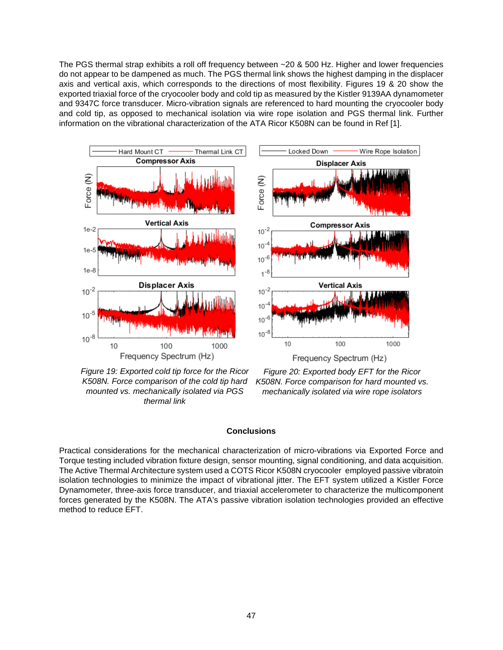The PGS thermal strap exhibits a roll off frequency between ~20 & 500 Hz. Higher and lower frequencies do not appear to be dampened as much. The PGS thermal link shows the highest damping in the displacer axis and vertical axis, which corresponds to the directions of most flexibility. Figures 19 & 20 show the exported triaxial force of the cryocooler body and cold tip as measured by the Kistler 9139AA dynamometer and 9347C force transducer. Micro-vibration signals are referenced to hard mounting the cryocooler body and cold tip, as opposed to mechanical isolation via wire rope isolation and PGS thermal link. Further information on the vibrational characterization of the ATA Ricor K508N can be found in Ref [1].



*Figure 19: Exported cold tip force for the Ricor K508N. Force comparison of the cold tip hard mounted vs. mechanically isolated via PGS thermal link*

*Figure 20: Exported body EFT for the Ricor K508N. Force comparison for hard mounted vs. mechanically isolated via wire rope isolators*

### **Conclusions**

Practical considerations for the mechanical characterization of micro-vibrations via Exported Force and Torque testing included vibration fixture design, sensor mounting, signal conditioning, and data acquisition. The Active Thermal Architecture system used a COTS Ricor K508N cryocooler employed passive vibratoin isolation technologies to minimize the impact of vibrational jitter. The EFT system utilized a Kistler Force Dynamometer, three-axis force transducer, and triaxial accelerometer to characterize the multicomponent forces generated by the K508N. The ATA's passive vibration isolation technologies provided an effective method to reduce EFT.